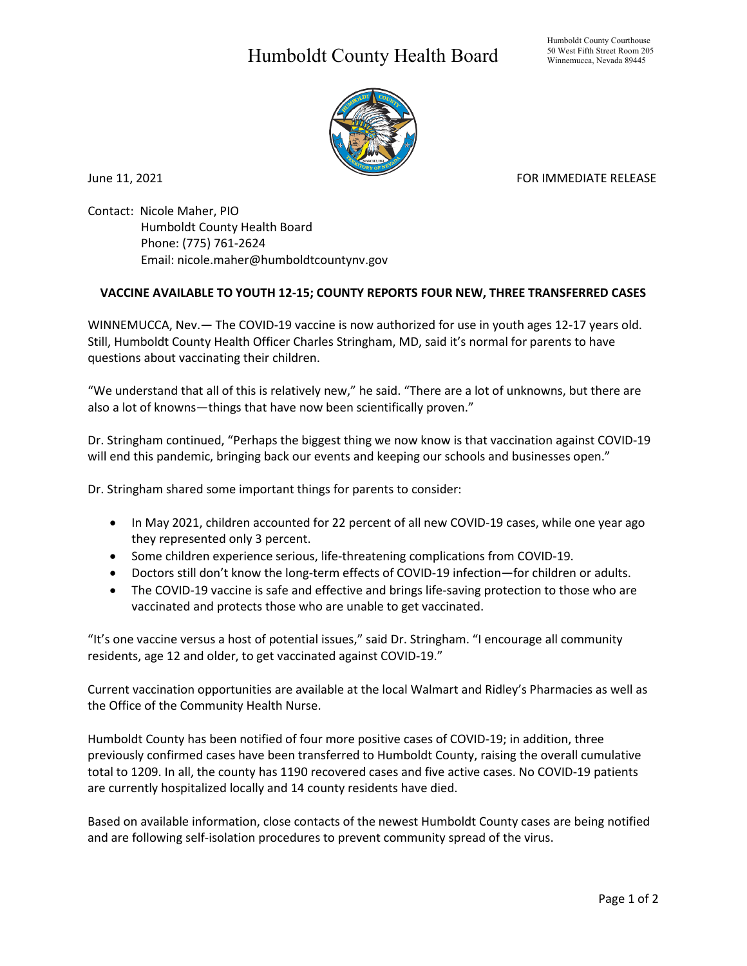## Humboldt County Health Board



June 11, 2021 **FOR IMMEDIATE RELEASE** 

Contact: Nicole Maher, PIO Humboldt County Health Board Phone: (775) 761-2624 Email: nicole.maher@humboldtcountynv.gov

## **VACCINE AVAILABLE TO YOUTH 12-15; COUNTY REPORTS FOUR NEW, THREE TRANSFERRED CASES**

WINNEMUCCA, Nev.— The COVID-19 vaccine is now authorized for use in youth ages 12-17 years old. Still, Humboldt County Health Officer Charles Stringham, MD, said it's normal for parents to have questions about vaccinating their children.

"We understand that all of this is relatively new," he said. "There are a lot of unknowns, but there are also a lot of knowns—things that have now been scientifically proven."

Dr. Stringham continued, "Perhaps the biggest thing we now know is that vaccination against COVID-19 will end this pandemic, bringing back our events and keeping our schools and businesses open."

Dr. Stringham shared some important things for parents to consider:

- In May 2021, children accounted for 22 percent of all new COVID-19 cases, while one year ago they represented only 3 percent.
- Some children experience serious, life-threatening complications from COVID-19.
- Doctors still don't know the long-term effects of COVID-19 infection—for children or adults.
- The COVID-19 vaccine is safe and effective and brings life-saving protection to those who are vaccinated and protects those who are unable to get vaccinated.

"It's one vaccine versus a host of potential issues," said Dr. Stringham. "I encourage all community residents, age 12 and older, to get vaccinated against COVID-19."

Current vaccination opportunities are available at the local Walmart and Ridley's Pharmacies as well as the Office of the Community Health Nurse.

Humboldt County has been notified of four more positive cases of COVID-19; in addition, three previously confirmed cases have been transferred to Humboldt County, raising the overall cumulative total to 1209. In all, the county has 1190 recovered cases and five active cases. No COVID-19 patients are currently hospitalized locally and 14 county residents have died.

Based on available information, close contacts of the newest Humboldt County cases are being notified and are following self-isolation procedures to prevent community spread of the virus.